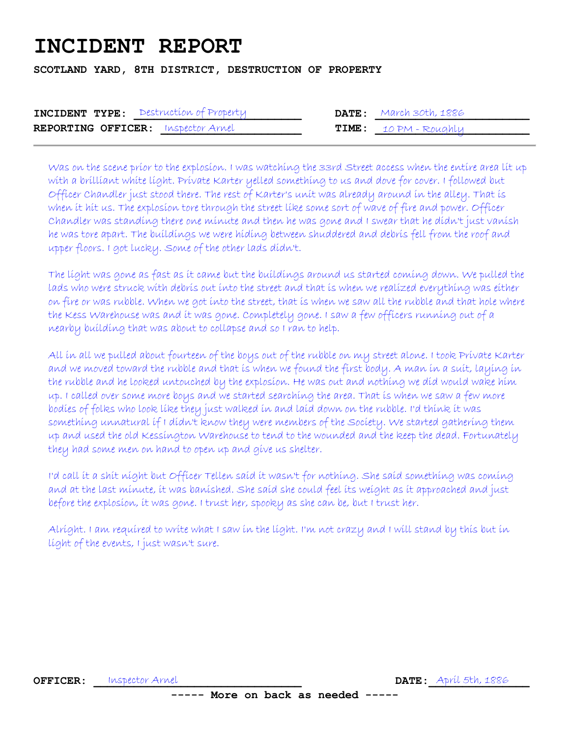## **INCIDENT REPORT**

**SCOTLAND YARD, 8TH DISTRICT, DESTRUCTION OF PROPERTY** 

| <b>INCIDENT TYPE:</b> Destruction of Property |  | $\textbf{DATE}:$ March 30th, 1886 |
|-----------------------------------------------|--|-----------------------------------|
| <b>REPORTING OFFICER:</b> Inspector Arnel     |  | $\tt{TIME:}$ $\tt{10 PM-Foughlu}$ |

Was on the scene prior to the explosion. I was watching the 33rd Street access when the entire area lit up with a brilliant white light. Private Karter yelled something to us and dove for cover. I followed but Officer Chandler just stood there. The rest of Karter's unit was already around in the alley. That is when it hit us. The explosion tore through the street like some sort of wave of fire and power. Officer Chandler was standing there one minute and then he was gone and I swear that he didn't just vanish he was tore apart. The buildings we were hiding between shuddered and debris fell from the roof and upper floors. I got lucky. Some of the other lads didn't.

The light was gone as fast as it came but the buildings around us started coming down. We pulled the lads who were struck with debris out into the street and that is when we realized everything was either on fire or was rubble. When we got into the street, that is when we saw all the rubble and that hole where the Kess Warehouse was and it was gone. Completely gone. I saw a few officers running out of a nearby building that was about to collapse and so I ran to help.

All in all we pulled about fourteen of the boys out of the rubble on my street alone. I took Private Karter and we moved toward the rubble and that is when we found the first body. A man in a suit, laying in the rubble and he looked untouched by the explosion. He was out and nothing we did would wake him up. I called over some more boys and we started searching the area. That is when we saw a few more bodies of folks who look like they just walked in and laid down on the rubble. I'd think it was something unnatural if I didn't know they were members of the Society. We started gathering them up and used the old Kessington Warehouse to tend to the wounded and the keep the dead. Fortunately they had some men on hand to open up and give us shelter.

I'd call it a shit night but Officer Tellen said it wasn't for nothing. She said something was coming and at the last minute, it was banished. She said she could feel its weight as it approached and just before the explosion, it was gone. I trust her, spooky as she can be, but I trust her.

Alright. I am required to write what I saw in the light. I'm not crazy and I will stand by this but in light of the events, I just wasn't sure.

**OFFICER:** Inspector Arnel **Acceleria Contract Contract Contract Contract Participal April 5th, 1886** 

**----- More on back as needed -----**